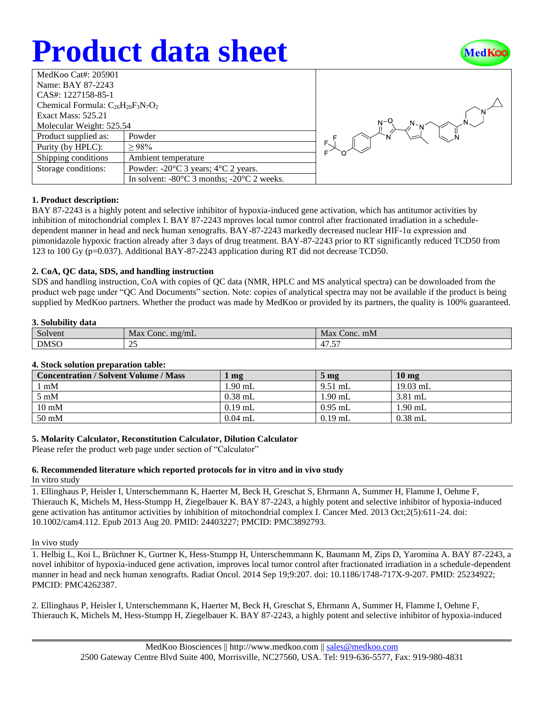# **Product data sheet**



| MedKoo Cat#: 205901                       |                                                                |  |  |  |
|-------------------------------------------|----------------------------------------------------------------|--|--|--|
| Name: BAY 87-2243                         |                                                                |  |  |  |
| CAS#: 1227158-85-1                        |                                                                |  |  |  |
| Chemical Formula: $C_{26}H_{26}F_3N_7O_2$ |                                                                |  |  |  |
| <b>Exact Mass: 525.21</b>                 |                                                                |  |  |  |
| Molecular Weight: 525.54                  |                                                                |  |  |  |
| Product supplied as:                      | Powder                                                         |  |  |  |
| Purity (by HPLC):                         | >98%                                                           |  |  |  |
| Shipping conditions                       | Ambient temperature                                            |  |  |  |
| Storage conditions:                       | Powder: $-20^{\circ}$ C 3 years; $4^{\circ}$ C 2 years.        |  |  |  |
|                                           | In solvent: $-80^{\circ}$ C 3 months; $-20^{\circ}$ C 2 weeks. |  |  |  |



#### **1. Product description:**

BAY 87-2243 is a highly potent and selective inhibitor of hypoxia-induced gene activation, which has antitumor activities by inhibition of mitochondrial complex I. BAY 87-2243 mproves local tumor control after fractionated irradiation in a scheduledependent manner in head and neck human xenografts. BAY-87-2243 markedly decreased nuclear HIF-1α expression and pimonidazole hypoxic fraction already after 3 days of drug treatment. BAY-87-2243 prior to RT significantly reduced TCD50 from 123 to 100 Gy (p=0.037). Additional BAY-87-2243 application during RT did not decrease TCD50.

#### **2. CoA, QC data, SDS, and handling instruction**

SDS and handling instruction, CoA with copies of QC data (NMR, HPLC and MS analytical spectra) can be downloaded from the product web page under "QC And Documents" section. Note: copies of analytical spectra may not be available if the product is being supplied by MedKoo partners. Whether the product was made by MedKoo or provided by its partners, the quality is 100% guaranteed.

#### **3. Solubility data**

| Solvent     | Max<br>Conc. mg/mL | Max<br>Conc. mM |
|-------------|--------------------|-----------------|
| <b>DMSC</b> | $\sim$<br>ت        | . <i>. .</i>    |

#### **4. Stock solution preparation table:**

| <b>Concentration / Solvent Volume / Mass</b> | mg        | $5 \text{ mg}$ | 10 <sub>mg</sub> |
|----------------------------------------------|-----------|----------------|------------------|
| $1 \text{ mM}$                               | 1.90 mL   | $9.51$ mL      | $19.03$ mL       |
| $5 \text{ mM}$                               | $0.38$ mL | $1.90$ mL      | $3.81$ mL        |
| $10 \text{ mM}$                              | $0.19$ mL | $0.95$ mL      | $1.90$ mL        |
| $50 \text{ mM}$                              | $0.04$ mL | $0.19$ mL      | $0.38$ mL        |

#### **5. Molarity Calculator, Reconstitution Calculator, Dilution Calculator**

Please refer the product web page under section of "Calculator"

### **6. Recommended literature which reported protocols for in vitro and in vivo study**

#### In vitro study

1. Ellinghaus P, Heisler I, Unterschemmann K, Haerter M, Beck H, Greschat S, Ehrmann A, Summer H, Flamme I, Oehme F, Thierauch K, Michels M, Hess-Stumpp H, Ziegelbauer K. BAY 87-2243, a highly potent and selective inhibitor of hypoxia-induced gene activation has antitumor activities by inhibition of mitochondrial complex I. Cancer Med. 2013 Oct;2(5):611-24. doi: 10.1002/cam4.112. Epub 2013 Aug 20. PMID: 24403227; PMCID: PMC3892793.

#### In vivo study

1. Helbig L, Koi L, Brüchner K, Gurtner K, Hess-Stumpp H, Unterschemmann K, Baumann M, Zips D, Yaromina A. BAY 87-2243, a novel inhibitor of hypoxia-induced gene activation, improves local tumor control after fractionated irradiation in a schedule-dependent manner in head and neck human xenografts. Radiat Oncol. 2014 Sep 19;9:207. doi: 10.1186/1748-717X-9-207. PMID: 25234922; PMCID: PMC4262387.

2. Ellinghaus P, Heisler I, Unterschemmann K, Haerter M, Beck H, Greschat S, Ehrmann A, Summer H, Flamme I, Oehme F, Thierauch K, Michels M, Hess-Stumpp H, Ziegelbauer K. BAY 87-2243, a highly potent and selective inhibitor of hypoxia-induced